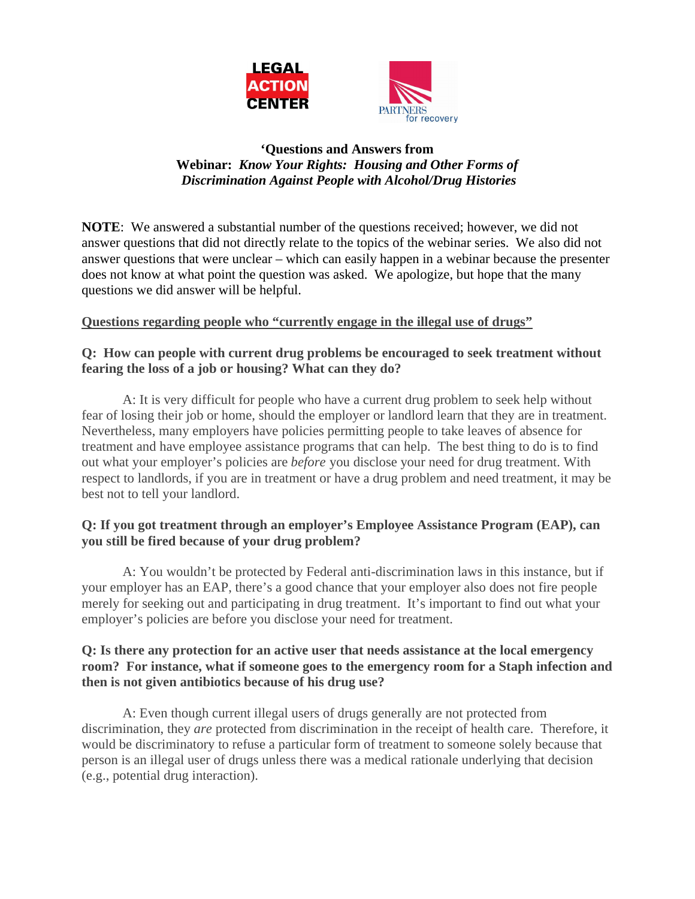

### **'Questions and Answers from Webinar:** *Know Your Rights: Housing and Other Forms of Discrimination Against People with Alcohol/Drug Histories*

**NOTE**: We answered a substantial number of the questions received; however, we did not answer questions that did not directly relate to the topics of the webinar series. We also did not answer questions that were unclear – which can easily happen in a webinar because the presenter does not know at what point the question was asked. We apologize, but hope that the many questions we did answer will be helpful.

## **Questions regarding people who "currently engage in the illegal use of drugs"**

## **Q: How can people with current drug problems be encouraged to seek treatment without fearing the loss of a job or housing? What can they do?**

A: It is very difficult for people who have a current drug problem to seek help without fear of losing their job or home, should the employer or landlord learn that they are in treatment. Nevertheless, many employers have policies permitting people to take leaves of absence for treatment and have employee assistance programs that can help. The best thing to do is to find out what your employer's policies are *before* you disclose your need for drug treatment. With respect to landlords, if you are in treatment or have a drug problem and need treatment, it may be best not to tell your landlord.

## **Q: If you got treatment through an employer's Employee Assistance Program (EAP), can you still be fired because of your drug problem?**

A: You wouldn't be protected by Federal anti-discrimination laws in this instance, but if your employer has an EAP, there's a good chance that your employer also does not fire people merely for seeking out and participating in drug treatment. It's important to find out what your employer's policies are before you disclose your need for treatment.

### **Q: Is there any protection for an active user that needs assistance at the local emergency room? For instance, what if someone goes to the emergency room for a Staph infection and then is not given antibiotics because of his drug use?**

A: Even though current illegal users of drugs generally are not protected from discrimination, they *are* protected from discrimination in the receipt of health care. Therefore, it would be discriminatory to refuse a particular form of treatment to someone solely because that person is an illegal user of drugs unless there was a medical rationale underlying that decision (e.g., potential drug interaction).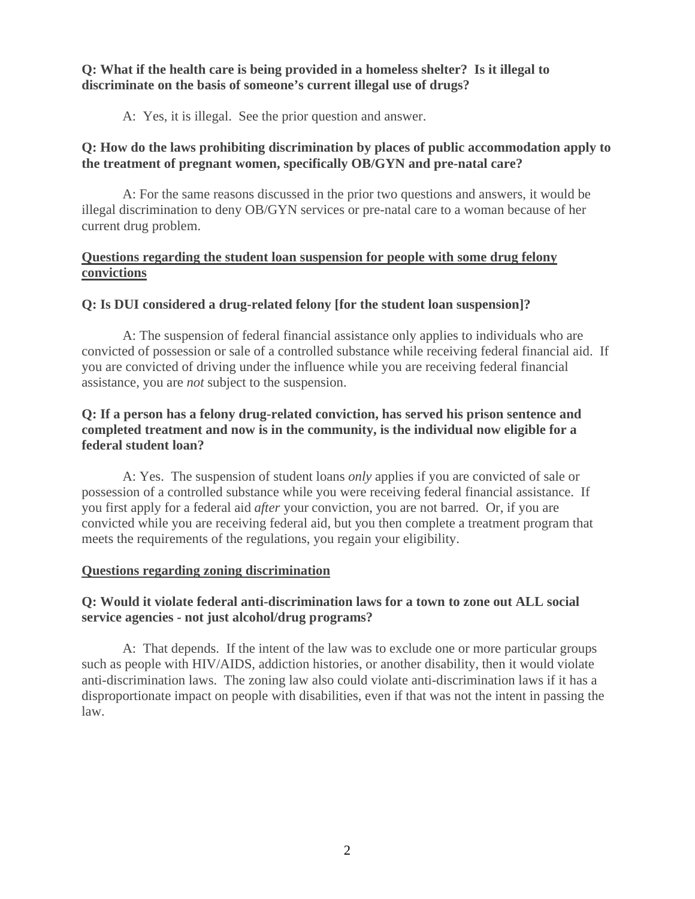**Q: What if the health care is being provided in a homeless shelter? Is it illegal to discriminate on the basis of someone's current illegal use of drugs?**

A: Yes, it is illegal. See the prior question and answer.

## **Q: How do the laws prohibiting discrimination by places of public accommodation apply to the treatment of pregnant women, specifically OB/GYN and pre-natal care?**

A: For the same reasons discussed in the prior two questions and answers, it would be illegal discrimination to deny OB/GYN services or pre-natal care to a woman because of her current drug problem.

## **Questions regarding the student loan suspension for people with some drug felony convictions**

# **Q: Is DUI considered a drug-related felony [for the student loan suspension]?**

A: The suspension of federal financial assistance only applies to individuals who are convicted of possession or sale of a controlled substance while receiving federal financial aid. If you are convicted of driving under the influence while you are receiving federal financial assistance, you are *not* subject to the suspension.

## **Q: If a person has a felony drug-related conviction, has served his prison sentence and completed treatment and now is in the community, is the individual now eligible for a federal student loan?**

A: Yes. The suspension of student loans *only* applies if you are convicted of sale or possession of a controlled substance while you were receiving federal financial assistance. If you first apply for a federal aid *after* your conviction, you are not barred. Or, if you are convicted while you are receiving federal aid, but you then complete a treatment program that meets the requirements of the regulations, you regain your eligibility.

## **Questions regarding zoning discrimination**

## **Q: Would it violate federal anti-discrimination laws for a town to zone out ALL social service agencies - not just alcohol/drug programs?**

A: That depends. If the intent of the law was to exclude one or more particular groups such as people with HIV/AIDS, addiction histories, or another disability, then it would violate anti-discrimination laws. The zoning law also could violate anti-discrimination laws if it has a disproportionate impact on people with disabilities, even if that was not the intent in passing the law.